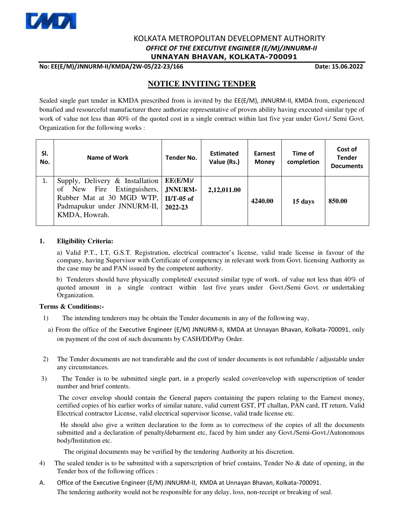

## KOLKATA METROPOLITAN DEVELOPMENT AUTHORITY  *OFFICE OF THE EXECUTIVE ENGINEER (E/M)/JNNURM-II*  **UNNAYAN BHAVAN, KOLKATA-700091**

**No: EE(E/M)/JNNURM-II/KMDA/2W-05/22-23/166 Date: 15.06.2022** 

# **NOTICE INVITING TENDER**

Sealed single part tender in KMDA prescribed from is invited by the EE(E/M), JNNURM-II, KMDA from, experienced bonafied and resourceful manufacturer there authorize representative of proven ability having executed similar type of work of value not less than 40% of the quoted cost in a single contract within last five year under Govt./ Semi Govt. Organization for the following works :

| SI.<br>No. | Name of Work                                                                                                                               | <b>Tender No.</b>                              | <b>Estimated</b><br>Value (Rs.) | Earnest<br><b>Money</b> | Time of<br>completion | Cost of<br><b>Tender</b><br><b>Documents</b> |
|------------|--------------------------------------------------------------------------------------------------------------------------------------------|------------------------------------------------|---------------------------------|-------------------------|-----------------------|----------------------------------------------|
| 1.         | Supply, Delivery & Installation<br>of New Fire Extinguishers,<br>Rubber Mat at 30 MGD WTP,<br>Padmapukur under JNNURM-II,<br>KMDA, Howrah. | EE(E/M)/<br>JNNURM-<br>$II/T-05$ of<br>2022-23 | 2,12,011.00                     | 4240.00                 | 15 days               | 850.00                                       |

#### **1. Eligibility Criteria:**

 a) Valid P.T., I.T, G.S.T. Registration, electrical contractor's license, valid trade license in favour of the company, having Supervisor with Certificate of competency in relevant work from Govt. licensing Authority as the case may be and PAN issued by the competent authority.

 b) Tenderers should have physically completed/ executed similar type of work. of value not less than 40% of quoted amount in a single contract within last five years under Govt./Semi Govt. or undertaking Organization.

### **Terms & Conditions:-**

- 1) The intending tenderers may be obtain the Tender documents in any of the following way,
- a) From the office of the Executive Engineer (E/M) JNNURM-II, KMDA at Unnayan Bhavan, Kolkata-700091, only on payment of the cost of such documents by CASH/DD/Pay Order.
- 2) The Tender documents are not transferable and the cost of tender documents is not refundable / adjustable under any circumstances.
- 3) The Tender is to be submitted single part, in a properly sealed cover/envelop with superscription of tender number and brief contents.

 The cover envelop should contain the General papers containing the papers relating to the Earnest money, certified copies of his earlier works of similar nature, valid current GST, PT challan, PAN card, IT return, Valid Electrical contractor License, valid electrical supervisor license, valid trade license etc.

 He should also give a written declaration to the form as to correctness of the copies of all the documents submitted and a declaration of penalty/debarment etc, faced by him under any Govt./Semi-Govt./Autonomous body/Institution etc.

The original documents may be verified by the tendering Authority at his discretion.

- 4) The sealed tender is to be submitted with a superscription of brief contains, Tender No & date of opening, in the Tender box of the following offices :
- A. Office of the Executive Engineer (E/M) JNNURM-II, KMDA at Unnayan Bhavan, Kolkata-700091. The tendering authority would not be responsible for any delay, loss, non-receipt or breaking of seal.